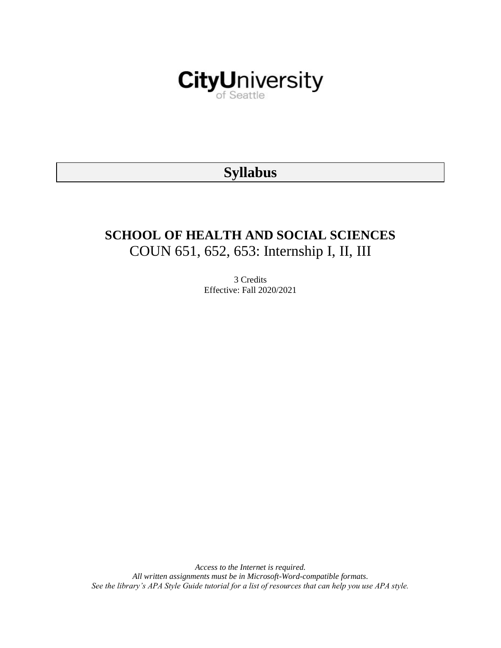

# **Syllabus**

# **SCHOOL OF HEALTH AND SOCIAL SCIENCES** COUN 651, 652, 653: Internship I, II, III

3 Credits Effective: Fall 2020/2021

*Access to the Internet is required. All written assignments must be in Microsoft-Word-compatible formats. See the library's APA Style Guide tutorial for a list of resources that can help you use APA style.*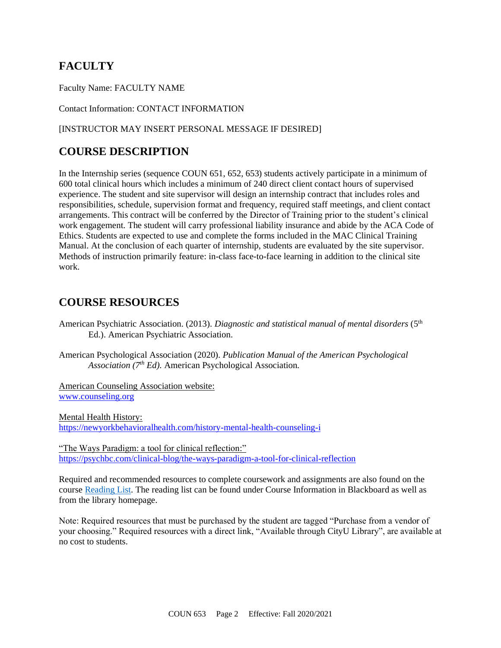## **FACULTY**

Faculty Name: FACULTY NAME

Contact Information: CONTACT INFORMATION

### [INSTRUCTOR MAY INSERT PERSONAL MESSAGE IF DESIRED]

## **COURSE DESCRIPTION**

In the Internship series (sequence COUN 651, 652, 653) students actively participate in a minimum of 600 total clinical hours which includes a minimum of 240 direct client contact hours of supervised experience. The student and site supervisor will design an internship contract that includes roles and responsibilities, schedule, supervision format and frequency, required staff meetings, and client contact arrangements. This contract will be conferred by the Director of Training prior to the student's clinical work engagement. The student will carry professional liability insurance and abide by the ACA Code of Ethics. Students are expected to use and complete the forms included in the MAC Clinical Training Manual. At the conclusion of each quarter of internship, students are evaluated by the site supervisor. Methods of instruction primarily feature: in-class face-to-face learning in addition to the clinical site work.

## **COURSE RESOURCES**

- American Psychiatric Association. (2013). *Diagnostic and statistical manual of mental disorders* (5th Ed.). American Psychiatric Association.
- American Psychological Association (2020). *Publication Manual of the American Psychological Association (7th Ed).* American Psychological Association.

American Counseling Association website: [www.counseling.org](http://www.counseling.org/)

Mental Health History: <https://newyorkbehavioralhealth.com/history-mental-health-counseling-i>

"The Ways Paradigm: a tool for clinical reflection:" <https://psychbc.com/clinical-blog/the-ways-paradigm-a-tool-for-clinical-reflection>

Required and recommended resources to complete coursework and assignments are also found on the course [Reading List.](https://nam03.safelinks.protection.outlook.com/?url=https%3A%2F%2Fcityu.alma.exlibrisgroup.com%2Fleganto%2Flogin%3Fauth%3DSAML&data=04%7C01%7CMMara%40cityu.edu%7C70673ce0fe0144040eda08d87472e204%7Cb3fa96d9f5154662add763d854e39e63%7C1%7C0%7C637387384066198115%7CUnknown%7CTWFpbGZsb3d8eyJWIjoiMC4wLjAwMDAiLCJQIjoiV2luMzIiLCJBTiI6Ik1haWwiLCJXVCI6Mn0%3D%7C1000&sdata=JbwP%2Fm5Q%2BMgIUWa%2FXceos%2BoiLv0DX%2B%2FL%2BNGNMbX9P8E%3D&reserved=0) The reading list can be found under Course Information in Blackboard as well as from the library homepage.

Note: Required resources that must be purchased by the student are tagged "Purchase from a vendor of your choosing." Required resources with a direct link, "Available through CityU Library", are available at no cost to students.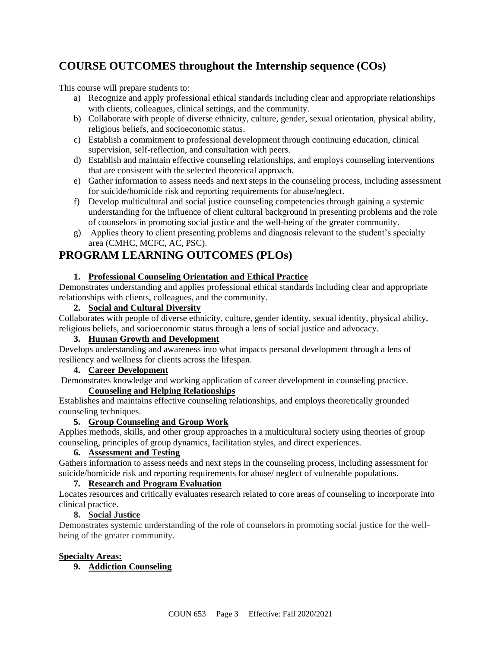## **COURSE OUTCOMES throughout the Internship sequence (COs)**

This course will prepare students to:

- a) Recognize and apply professional ethical standards including clear and appropriate relationships with clients, colleagues, clinical settings, and the community.
- b) Collaborate with people of diverse ethnicity, culture, gender, sexual orientation, physical ability, religious beliefs, and socioeconomic status.
- c) Establish a commitment to professional development through continuing education, clinical supervision, self-reflection, and consultation with peers.
- d) Establish and maintain effective counseling relationships, and employs counseling interventions that are consistent with the selected theoretical approach.
- e) Gather information to assess needs and next steps in the counseling process, including assessment for suicide/homicide risk and reporting requirements for abuse/neglect.
- f) Develop multicultural and social justice counseling competencies through gaining a systemic understanding for the influence of client cultural background in presenting problems and the role of counselors in promoting social justice and the well-being of the greater community.
- g) Applies theory to client presenting problems and diagnosis relevant to the student's specialty area (CMHC, MCFC, AC, PSC).

## **PROGRAM LEARNING OUTCOMES (PLOs)**

### **1. Professional Counseling Orientation and Ethical Practice**

Demonstrates understanding and applies professional ethical standards including clear and appropriate relationships with clients, colleagues, and the community.

### **2. Social and Cultural Diversity**

Collaborates with people of diverse ethnicity, culture, gender identity, sexual identity, physical ability, religious beliefs, and socioeconomic status through a lens of social justice and advocacy.

**3. Human Growth and Development**

Develops understanding and awareness into what impacts personal development through a lens of resiliency and wellness for clients across the lifespan.

### **4. Career Development**

Demonstrates knowledge and working application of career development in counseling practice.

### **Counseling and Helping Relationships**

Establishes and maintains effective counseling relationships, and employs theoretically grounded counseling techniques.

### **5. Group Counseling and Group Work**

Applies methods, skills, and other group approaches in a multicultural society using theories of group counseling, principles of group dynamics, facilitation styles, and direct experiences.

### **6. Assessment and Testing**

Gathers information to assess needs and next steps in the counseling process, including assessment for suicide/homicide risk and reporting requirements for abuse/ neglect of vulnerable populations.

### **7. Research and Program Evaluation**

Locates resources and critically evaluates research related to core areas of counseling to incorporate into clinical practice.

### **8. Social Justice**

Demonstrates systemic understanding of the role of counselors in promoting social justice for the wellbeing of the greater community.

### **Specialty Areas:**

**9. Addiction Counseling**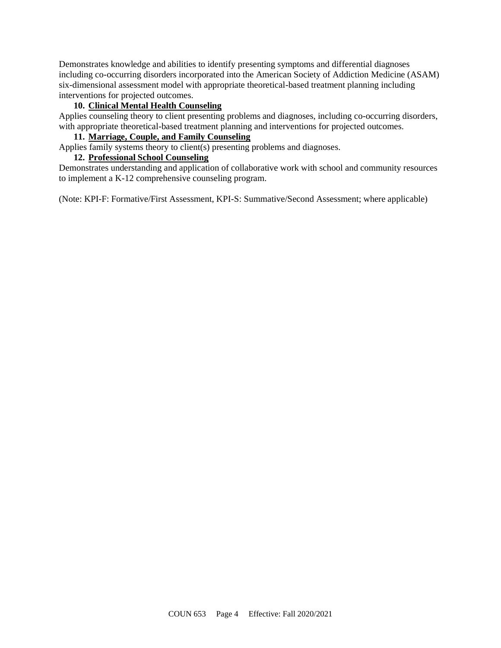Demonstrates knowledge and abilities to identify presenting symptoms and differential diagnoses including co-occurring disorders incorporated into the American Society of Addiction Medicine (ASAM) six-dimensional assessment model with appropriate theoretical-based treatment planning including interventions for projected outcomes.

### **10. Clinical Mental Health Counseling**

Applies counseling theory to client presenting problems and diagnoses, including co-occurring disorders, with appropriate theoretical-based treatment planning and interventions for projected outcomes.

### **11. Marriage, Couple, and Family Counseling**

Applies family systems theory to client(s) presenting problems and diagnoses.

### **12. Professional School Counseling**

Demonstrates understanding and application of collaborative work with school and community resources to implement a K-12 comprehensive counseling program.

(Note: KPI-F: Formative/First Assessment, KPI-S: Summative/Second Assessment; where applicable)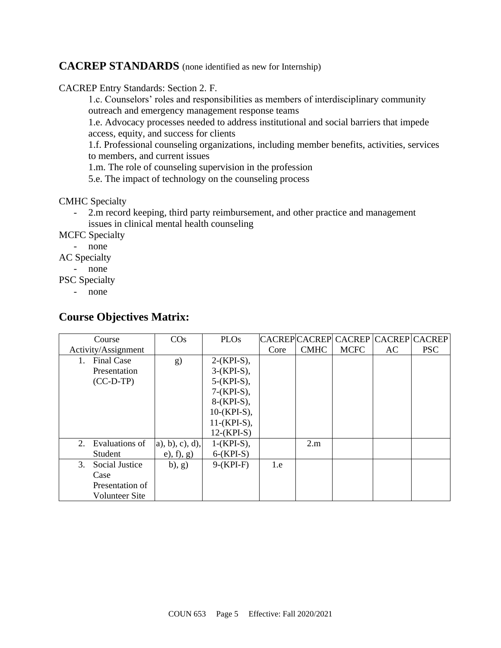### **CACREP STANDARDS** (none identified as new for Internship)

CACREP Entry Standards: Section 2. F.

1.c. Counselors' roles and responsibilities as members of interdisciplinary community outreach and emergency management response teams

1.e. Advocacy processes needed to address institutional and social barriers that impede access, equity, and success for clients

1.f. Professional counseling organizations, including member benefits, activities, services to members, and current issues

1.m. The role of counseling supervision in the profession

5.e. The impact of technology on the counseling process

CMHC Specialty

- 2.m record keeping, third party reimbursement, and other practice and management issues in clinical mental health counseling

MCFC Specialty

- none

AC Specialty

- none

PSC Specialty

- none

### **Course Objectives Matrix:**

| Course                  | $\cos$             | <b>PLOs</b>    |      |             | CACREPCACREP CACREP CACREP CACREP |     |            |
|-------------------------|--------------------|----------------|------|-------------|-----------------------------------|-----|------------|
| Activity/Assignment     |                    |                | Core | <b>CMHC</b> | <b>MCFC</b>                       | AC. | <b>PSC</b> |
| <b>Final Case</b><br>1. | g)                 | $2-(KPI-S)$ ,  |      |             |                                   |     |            |
| Presentation            |                    | $3-(KPI-S)$ ,  |      |             |                                   |     |            |
| $(CC-D-TP)$             |                    | $5-(KPI-S)$ ,  |      |             |                                   |     |            |
|                         |                    | $7-(KPI-S),$   |      |             |                                   |     |            |
|                         |                    | $8-(KPI-S)$ ,  |      |             |                                   |     |            |
|                         |                    | $10-(KPI-S)$ , |      |             |                                   |     |            |
|                         |                    | $11-(KPI-S),$  |      |             |                                   |     |            |
|                         |                    | $12-(KPI-S)$   |      |             |                                   |     |            |
| Evaluations of<br>2.    | $a)$ , b), c), d), | $1-(KPI-S)$ ,  |      | 2.m         |                                   |     |            |
| <b>Student</b>          | (e), f), g)        | $6-(KPI-S)$    |      |             |                                   |     |            |
| 3.<br>Social Justice    | (b), g)            | $9-(KPI-F)$    | 1.e  |             |                                   |     |            |
| Case                    |                    |                |      |             |                                   |     |            |
| Presentation of         |                    |                |      |             |                                   |     |            |
| Volunteer Site          |                    |                |      |             |                                   |     |            |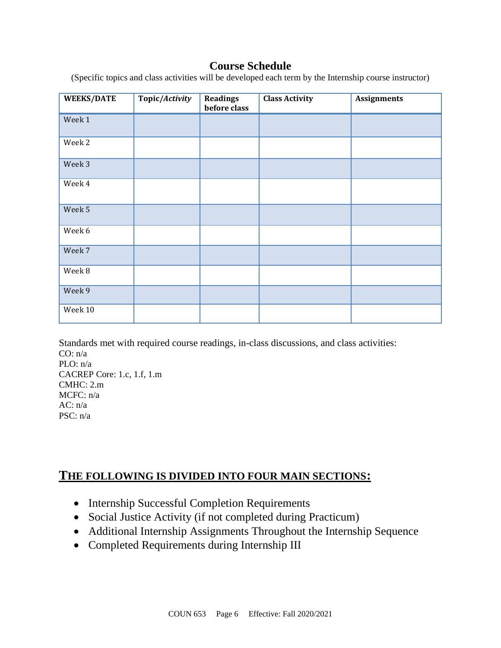## **Course Schedule**

(Specific topics and class activities will be developed each term by the Internship course instructor)

| <b>WEEKS/DATE</b> | Topic/Activity | <b>Readings</b><br>before class | <b>Class Activity</b> | <b>Assignments</b> |
|-------------------|----------------|---------------------------------|-----------------------|--------------------|
| Week 1            |                |                                 |                       |                    |
| Week 2            |                |                                 |                       |                    |
| Week 3            |                |                                 |                       |                    |
| Week 4            |                |                                 |                       |                    |
| Week 5            |                |                                 |                       |                    |
| Week 6            |                |                                 |                       |                    |
| Week 7            |                |                                 |                       |                    |
| Week 8            |                |                                 |                       |                    |
| Week 9            |                |                                 |                       |                    |
| Week 10           |                |                                 |                       |                    |

Standards met with required course readings, in-class discussions, and class activities: CO: n/a PLO: n/a CACREP Core: 1.c, 1.f, 1.m CMHC: 2.m MCFC: n/a AC: n/a PSC: n/a

## **THE FOLLOWING IS DIVIDED INTO FOUR MAIN SECTIONS:**

- Internship Successful Completion Requirements
- Social Justice Activity (if not completed during Practicum)
- Additional Internship Assignments Throughout the Internship Sequence
- Completed Requirements during Internship III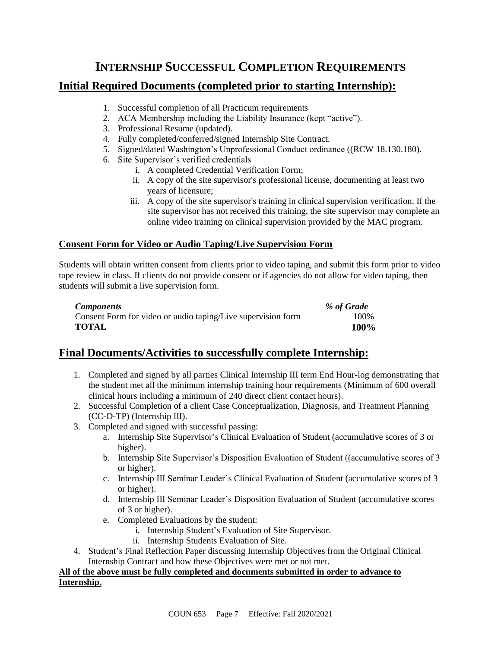## **INTERNSHIP SUCCESSFUL COMPLETION REQUIREMENTS**

## **Initial Required Documents (completed prior to starting Internship):**

- 1. Successful completion of all Practicum requirements
- 2. ACA Membership including the Liability Insurance (kept "active").
- 3. Professional Resume (updated).
- 4. Fully completed/conferred/signed Internship Site Contract.
- 5. Signed/dated Washington's Unprofessional Conduct ordinance ((RCW 18.130.180).
- 6. Site Supervisor's verified credentials
	- i. A completed Credential Verification Form;
	- ii. A copy of the site supervisor's professional license, documenting at least two years of licensure;
	- iii. A copy of the site supervisor's training in clinical supervision verification. If the site supervisor has not received this training, the site supervisor may complete an online video training on clinical supervision provided by the MAC program.

### **Consent Form for Video or Audio Taping/Live Supervision Form**

Students will obtain written consent from clients prior to video taping, and submit this form prior to video tape review in class. If clients do not provide consent or if agencies do not allow for video taping, then students will submit a live supervision form.

| <b>Components</b>                                            | % of Grade |
|--------------------------------------------------------------|------------|
| Consent Form for video or audio taping/Live supervision form | 100%       |
| <b>TOTAL</b>                                                 | 100%       |

## **Final Documents/Activities to successfully complete Internship:**

- 1. Completed and signed by all parties Clinical Internship III term End Hour-log demonstrating that the student met all the minimum internship training hour requirements (Minimum of 600 overall clinical hours including a minimum of 240 direct client contact hours).
- 2. Successful Completion of a client Case Conceptualization, Diagnosis, and Treatment Planning (CC-D-TP) (Internship III).
- 3. Completed and signed with successful passing:
	- a. Internship Site Supervisor's Clinical Evaluation of Student (accumulative scores of 3 or higher).
	- b. Internship Site Supervisor's Disposition Evaluation of Student ((accumulative scores of 3 or higher).
	- c. Internship III Seminar Leader's Clinical Evaluation of Student (accumulative scores of 3 or higher).
	- d. Internship III Seminar Leader's Disposition Evaluation of Student (accumulative scores of 3 or higher).
	- e. Completed Evaluations by the student:
		- i. Internship Student's Evaluation of Site Supervisor.
		- ii. Internship Students Evaluation of Site.
- 4. Student's Final Reflection Paper discussing Internship Objectives from the Original Clinical Internship Contract and how these Objectives were met or not met.

**All of the above must be fully completed and documents submitted in order to advance to Internship.**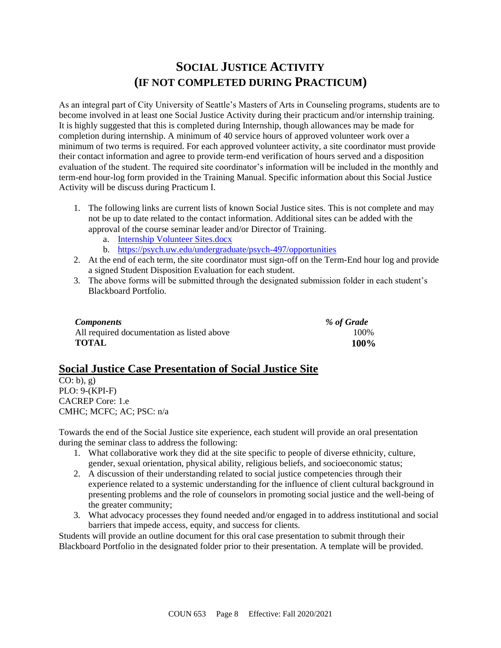## **SOCIAL JUSTICE ACTIVITY (IF NOT COMPLETED DURING PRACTICUM)**

As an integral part of City University of Seattle's Masters of Arts in Counseling programs, students are to become involved in at least one Social Justice Activity during their practicum and/or internship training. It is highly suggested that this is completed during Internship, though allowances may be made for completion during internship. A minimum of 40 service hours of approved volunteer work over a minimum of two terms is required. For each approved volunteer activity, a site coordinator must provide their contact information and agree to provide term-end verification of hours served and a disposition evaluation of the student. The required site coordinator's information will be included in the monthly and term-end hour-log form provided in the Training Manual. Specific information about this Social Justice Activity will be discuss during Practicum I.

- 1. The following links are current lists of known Social Justice sites. This is not complete and may not be up to date related to the contact information. Additional sites can be added with the approval of the course seminar leader and/or Director of Training.
	- a. Internship [Volunteer Sites.docx](https://courses.cityu.edu/bbcswebdav/pid-9891824-dt-content-rid-51047526_1/xid-51047526_1)
	- b. <https://psych.uw.edu/undergraduate/psych-497/opportunities>
- 2. At the end of each term, the site coordinator must sign-off on the Term-End hour log and provide a signed Student Disposition Evaluation for each student.
- 3. The above forms will be submitted through the designated submission folder in each student's Blackboard Portfolio.

| <b>Components</b>                          | % of Grade |
|--------------------------------------------|------------|
| All required documentation as listed above | 100\%      |
| <b>TOTAL</b>                               | 100%       |

### **Social Justice Case Presentation of Social Justice Site**

 $CO: b$ , g) PLO: 9-(KPI-F) CACREP Core: 1.e CMHC; MCFC; AC; PSC: n/a

Towards the end of the Social Justice site experience, each student will provide an oral presentation during the seminar class to address the following:

- 1. What collaborative work they did at the site specific to people of diverse ethnicity, culture, gender, sexual orientation, physical ability, religious beliefs, and socioeconomic status;
- 2. A discussion of their understanding related to social justice competencies through their experience related to a systemic understanding for the influence of client cultural background in presenting problems and the role of counselors in promoting social justice and the well-being of the greater community;
- 3. What advocacy processes they found needed and/or engaged in to address institutional and social barriers that impede access, equity, and success for clients.

Students will provide an outline document for this oral case presentation to submit through their Blackboard Portfolio in the designated folder prior to their presentation. A template will be provided.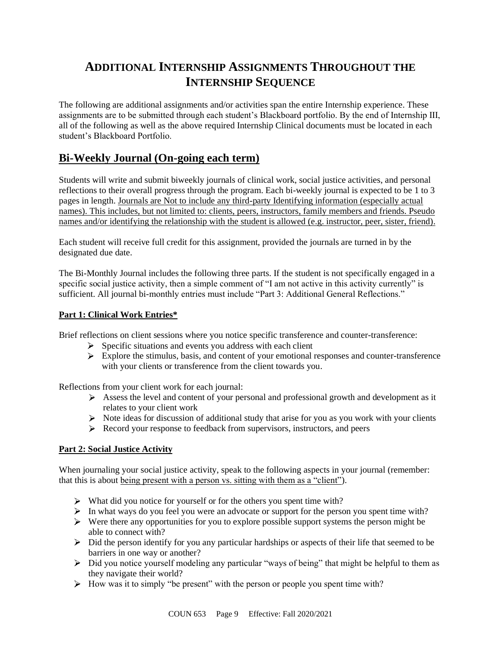## **ADDITIONAL INTERNSHIP ASSIGNMENTS THROUGHOUT THE INTERNSHIP SEQUENCE**

The following are additional assignments and/or activities span the entire Internship experience. These assignments are to be submitted through each student's Blackboard portfolio. By the end of Internship III, all of the following as well as the above required Internship Clinical documents must be located in each student's Blackboard Portfolio.

## **Bi-Weekly Journal (On-going each term)**

Students will write and submit biweekly journals of clinical work, social justice activities, and personal reflections to their overall progress through the program. Each bi-weekly journal is expected to be 1 to 3 pages in length. Journals are Not to include any third-party Identifying information (especially actual names). This includes, but not limited to: clients, peers, instructors, family members and friends. Pseudo names and/or identifying the relationship with the student is allowed (e.g. instructor, peer, sister, friend).

Each student will receive full credit for this assignment, provided the journals are turned in by the designated due date.

The Bi-Monthly Journal includes the following three parts. If the student is not specifically engaged in a specific social justice activity, then a simple comment of "I am not active in this activity currently" is sufficient. All journal bi-monthly entries must include "Part 3: Additional General Reflections."

### **Part 1: Clinical Work Entries\***

Brief reflections on client sessions where you notice specific transference and counter-transference:

- $\triangleright$  Specific situations and events you address with each client
- $\triangleright$  Explore the stimulus, basis, and content of your emotional responses and counter-transference with your clients or transference from the client towards you.

Reflections from your client work for each journal:

- $\triangleright$  Assess the level and content of your personal and professional growth and development as it relates to your client work
- $\triangleright$  Note ideas for discussion of additional study that arise for you as you work with your clients
- Record your response to feedback from supervisors, instructors, and peers

### **Part 2: Social Justice Activity**

When journaling your social justice activity, speak to the following aspects in your journal (remember: that this is about being present with a person vs. sitting with them as a "client").

- $\triangleright$  What did you notice for yourself or for the others you spent time with?
- In what ways do you feel you were an advocate or support for the person you spent time with?
- $\triangleright$  Were there any opportunities for you to explore possible support systems the person might be able to connect with?
- Did the person identify for you any particular hardships or aspects of their life that seemed to be barriers in one way or another?
- $\triangleright$  Did you notice yourself modeling any particular "ways of being" that might be helpful to them as they navigate their world?
- $\triangleright$  How was it to simply "be present" with the person or people you spent time with?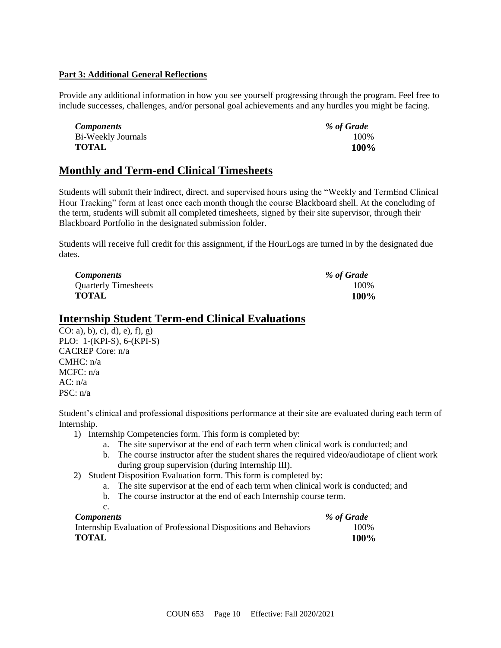### **Part 3: Additional General Reflections**

Provide any additional information in how you see yourself progressing through the program. Feel free to include successes, challenges, and/or personal goal achievements and any hurdles you might be facing.

| <i>Components</i>  | % of Grade |
|--------------------|------------|
| Bi-Weekly Journals | 100%       |
| <b>TOTAL</b>       | $100\%$    |

## **Monthly and Term-end Clinical Timesheets**

Students will submit their indirect, direct, and supervised hours using the "Weekly and TermEnd Clinical Hour Tracking" form at least once each month though the course Blackboard shell. At the concluding of the term, students will submit all completed timesheets, signed by their site supervisor, through their Blackboard Portfolio in the designated submission folder.

Students will receive full credit for this assignment, if the HourLogs are turned in by the designated due dates.

| <i>Components</i>           | % of Grade |
|-----------------------------|------------|
| <b>Quarterly Timesheets</b> | 100%       |
| <b>TOTAL</b>                | 100%       |

### **Internship Student Term-end Clinical Evaluations**

CO: a), b), c), d), e), f), g) PLO: 1-(KPI-S), 6-(KPI-S) CACREP Core: n/a CMHC: n/a MCFC: n/a AC: n/a PSC: n/a

Student's clinical and professional dispositions performance at their site are evaluated during each term of Internship.

- 1) Internship Competencies form. This form is completed by:
	- a. The site supervisor at the end of each term when clinical work is conducted; and
	- b. The course instructor after the student shares the required video/audiotape of client work during group supervision (during Internship III).
- 2) Student Disposition Evaluation form. This form is completed by:
	- a. The site supervisor at the end of each term when clinical work is conducted; and
	- b. The course instructor at the end of each Internship course term.
	- c.

| <b>Components</b>                                                | % of Grade |
|------------------------------------------------------------------|------------|
| Internship Evaluation of Professional Dispositions and Behaviors | 100%       |
| <b>TOTAL</b>                                                     | 100%       |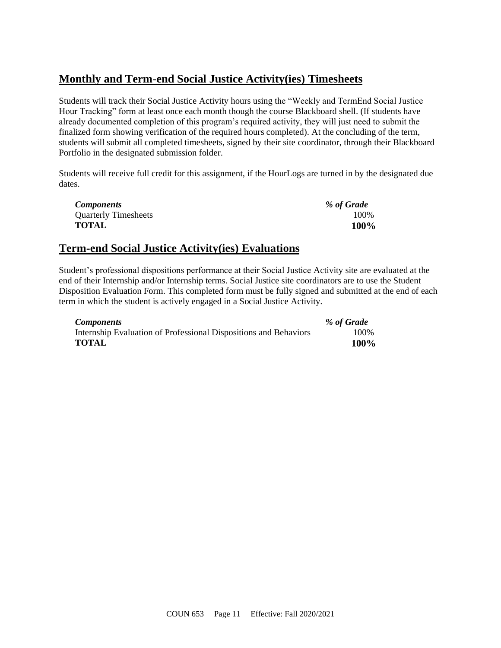## **Monthly and Term-end Social Justice Activity(ies) Timesheets**

Students will track their Social Justice Activity hours using the "Weekly and TermEnd Social Justice Hour Tracking" form at least once each month though the course Blackboard shell. (If students have already documented completion of this program's required activity, they will just need to submit the finalized form showing verification of the required hours completed). At the concluding of the term, students will submit all completed timesheets, signed by their site coordinator, through their Blackboard Portfolio in the designated submission folder.

Students will receive full credit for this assignment, if the HourLogs are turned in by the designated due dates.

| <i>Components</i>           | % of Grade |
|-----------------------------|------------|
| <b>Quarterly Timesheets</b> | 100%       |
| TOTAL                       | 100%       |

## **Term-end Social Justice Activity(ies) Evaluations**

Student's professional dispositions performance at their Social Justice Activity site are evaluated at the end of their Internship and/or Internship terms. Social Justice site coordinators are to use the Student Disposition Evaluation Form. This completed form must be fully signed and submitted at the end of each term in which the student is actively engaged in a Social Justice Activity.

| <i>Components</i>                                                | % of Grade |
|------------------------------------------------------------------|------------|
| Internship Evaluation of Professional Dispositions and Behaviors | 100\%      |
| TOTAL                                                            | 100%       |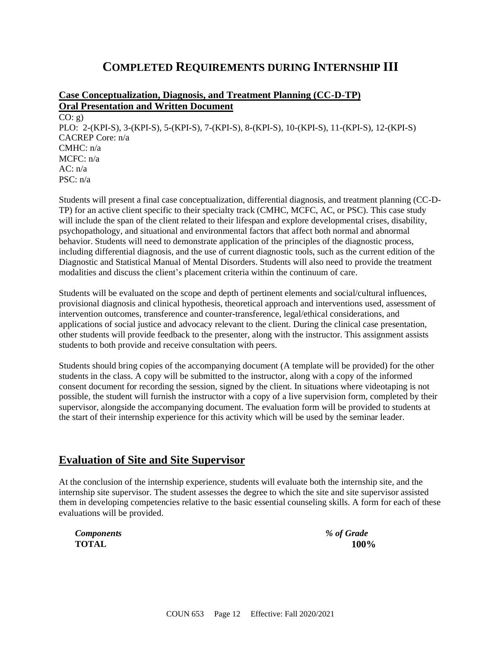## **COMPLETED REQUIREMENTS DURING INTERNSHIP III**

### **Case Conceptualization, Diagnosis, and Treatment Planning (CC-D-TP) Oral Presentation and Written Document**  $CO: g)$ PLO: 2-(KPI-S), 3-(KPI-S), 5-(KPI-S), 7-(KPI-S), 8-(KPI-S), 10-(KPI-S), 11-(KPI-S), 12-(KPI-S) CACREP Core: n/a CMHC: n/a  $MCFC: n/a$  $AC: n/a$ PSC: n/a

Students will present a final case conceptualization, differential diagnosis, and treatment planning (CC-D-TP) for an active client specific to their specialty track (CMHC, MCFC, AC, or PSC). This case study will include the span of the client related to their lifespan and explore developmental crises, disability, psychopathology, and situational and environmental factors that affect both normal and abnormal behavior. Students will need to demonstrate application of the principles of the diagnostic process, including differential diagnosis, and the use of current diagnostic tools, such as the current edition of the Diagnostic and Statistical Manual of Mental Disorders. Students will also need to provide the treatment modalities and discuss the client's placement criteria within the continuum of care.

Students will be evaluated on the scope and depth of pertinent elements and social/cultural influences, provisional diagnosis and clinical hypothesis, theoretical approach and interventions used, assessment of intervention outcomes, transference and counter-transference, legal/ethical considerations, and applications of social justice and advocacy relevant to the client. During the clinical case presentation, other students will provide feedback to the presenter, along with the instructor. This assignment assists students to both provide and receive consultation with peers.

Students should bring copies of the accompanying document (A template will be provided) for the other students in the class. A copy will be submitted to the instructor, along with a copy of the informed consent document for recording the session, signed by the client. In situations where videotaping is not possible, the student will furnish the instructor with a copy of a live supervision form, completed by their supervisor, alongside the accompanying document. The evaluation form will be provided to students at the start of their internship experience for this activity which will be used by the seminar leader.

### **Evaluation of Site and Site Supervisor**

At the conclusion of the internship experience, students will evaluate both the internship site, and the internship site supervisor. The student assesses the degree to which the site and site supervisor assisted them in developing competencies relative to the basic essential counseling skills. A form for each of these evaluations will be provided.

| <b>Components</b> | % of Grade |
|-------------------|------------|
| <b>TOTAL</b>      | 100%       |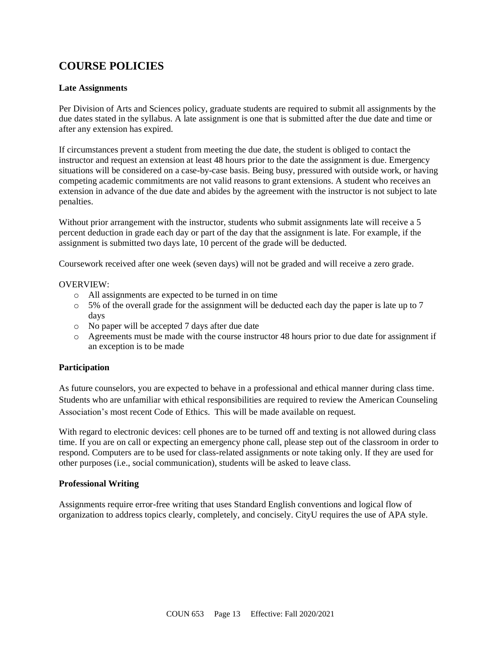## **COURSE POLICIES**

### **Late Assignments**

Per Division of Arts and Sciences policy, graduate students are required to submit all assignments by the due dates stated in the syllabus. A late assignment is one that is submitted after the due date and time or after any extension has expired.

If circumstances prevent a student from meeting the due date, the student is obliged to contact the instructor and request an extension at least 48 hours prior to the date the assignment is due. Emergency situations will be considered on a case-by-case basis. Being busy, pressured with outside work, or having competing academic commitments are not valid reasons to grant extensions. A student who receives an extension in advance of the due date and abides by the agreement with the instructor is not subject to late penalties.

Without prior arrangement with the instructor, students who submit assignments late will receive a 5 percent deduction in grade each day or part of the day that the assignment is late. For example, if the assignment is submitted two days late, 10 percent of the grade will be deducted.

Coursework received after one week (seven days) will not be graded and will receive a zero grade.

#### OVERVIEW:

- o All assignments are expected to be turned in on time
- $\circ$  5% of the overall grade for the assignment will be deducted each day the paper is late up to 7 days
- o No paper will be accepted 7 days after due date
- o Agreements must be made with the course instructor 48 hours prior to due date for assignment if an exception is to be made

### **Participation**

As future counselors, you are expected to behave in a professional and ethical manner during class time. Students who are unfamiliar with ethical responsibilities are required to review the American Counseling Association's most recent Code of Ethics. This will be made available on request.

With regard to electronic devices: cell phones are to be turned off and texting is not allowed during class time. If you are on call or expecting an emergency phone call, please step out of the classroom in order to respond. Computers are to be used for class-related assignments or note taking only. If they are used for other purposes (i.e., social communication), students will be asked to leave class.

### **Professional Writing**

Assignments require error-free writing that uses Standard English conventions and logical flow of organization to address topics clearly, completely, and concisely. CityU requires the use of APA style.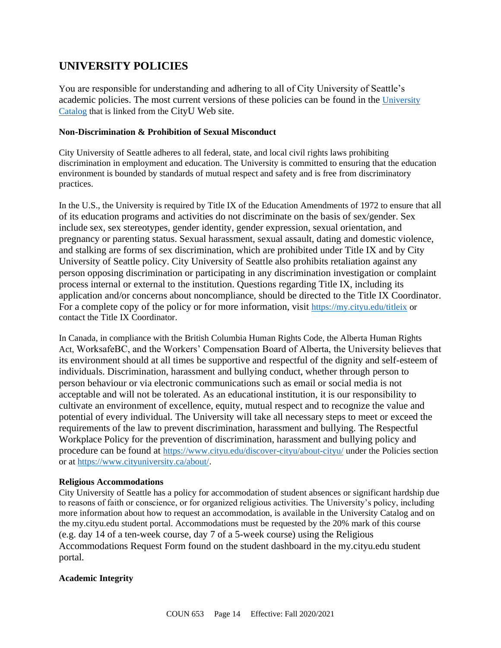## **UNIVERSITY POLICIES**

You are responsible for understanding and adhering to all of City University of Seattle's academic policies. The most current versions of these policies can be found in the [University](https://www.cityu.edu/catalog/)  [Catalog](https://www.cityu.edu/catalog/) that is linked from the CityU Web site.

#### **Non-Discrimination & Prohibition of Sexual Misconduct**

City University of Seattle adheres to all federal, state, and local civil rights laws prohibiting discrimination in employment and education. The University is committed to ensuring that the education environment is bounded by standards of mutual respect and safety and is free from discriminatory practices.

In the U.S., the University is required by Title IX of the Education Amendments of 1972 to ensure that all of its education programs and activities do not discriminate on the basis of sex/gender. Sex include sex, sex stereotypes, gender identity, gender expression, sexual orientation, and pregnancy or parenting status. Sexual harassment, sexual assault, dating and domestic violence, and stalking are forms of sex discrimination, which are prohibited under Title IX and by City University of Seattle policy. City University of Seattle also prohibits retaliation against any person opposing discrimination or participating in any discrimination investigation or complaint process internal or external to the institution. Questions regarding Title IX, including its application and/or concerns about noncompliance, should be directed to the Title IX Coordinator. For a complete copy of the policy or for more information, visit <https://my.cityu.edu/titleix> or contact the Title IX Coordinator.

In Canada, in compliance with the British Columbia Human Rights Code, the Alberta Human Rights Act, WorksafeBC, and the Workers' Compensation Board of Alberta, the University believes that its environment should at all times be supportive and respectful of the dignity and self-esteem of individuals. Discrimination, harassment and bullying conduct, whether through person to person behaviour or via electronic communications such as email or social media is not acceptable and will not be tolerated. As an educational institution, it is our responsibility to cultivate an environment of excellence, equity, mutual respect and to recognize the value and potential of every individual. The University will take all necessary steps to meet or exceed the requirements of the law to prevent discrimination, harassment and bullying. The Respectful Workplace Policy for the prevention of discrimination, harassment and bullying policy and procedure can be found at <https://www.cityu.edu/discover-cityu/about-cityu/> under the Policies section or at <https://www.cityuniversity.ca/about/>.

#### **Religious Accommodations**

City University of Seattle has a policy for accommodation of student absences or significant hardship due to reasons of faith or conscience, or for organized religious activities. The University's policy, including more information about how to request an accommodation, is available in the University Catalog and on the my.cityu.edu student portal. Accommodations must be requested by the 20% mark of this course (e.g. day 14 of a ten-week course, day 7 of a 5-week course) using the Religious Accommodations Request Form found on the student dashboard in the my.cityu.edu student portal.

### **Academic Integrity**